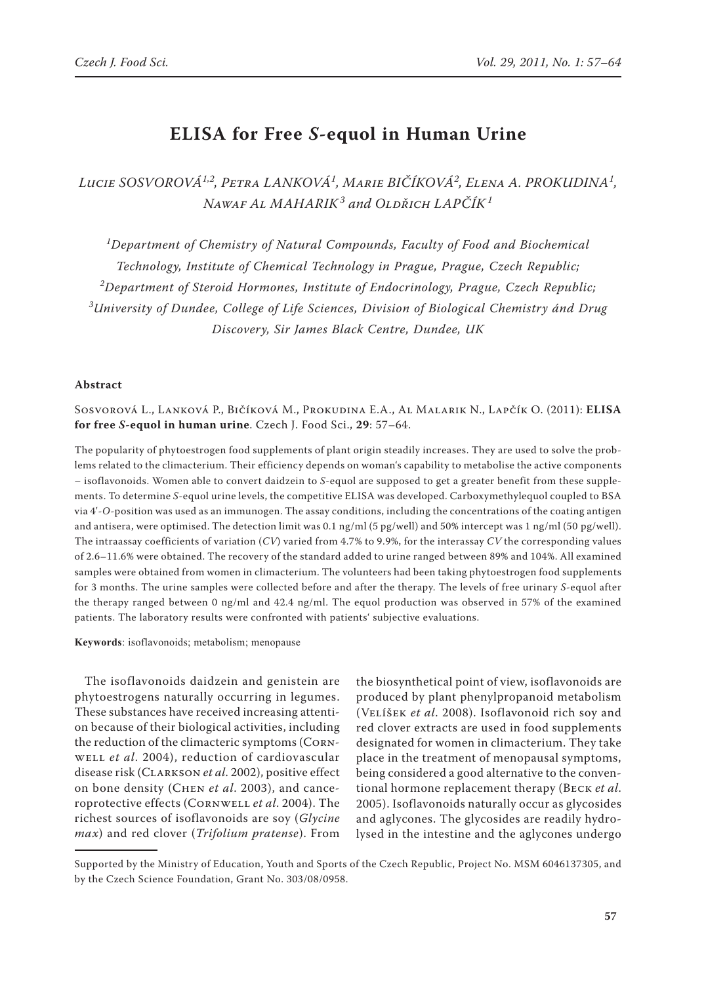# **ELISA for Free** *S***-equol in Human Urine**

*Lucie Sosvorová1,2, Petra Lanková1 , Marie Bičíková<sup>2</sup> , Elena A. Prokudina<sup>1</sup> , Nawaf Al Maharik<sup>3</sup> and Oldřich Lapčík<sup>1</sup>*

*1 Department of Chemistry of Natural Compounds, Faculty of Food and Biochemical Technology, Institute of Chemical Technology in Prague, Prague, Czech Republic; 2 Department of Steroid Hormones, Institute of Endocrinology, Prague, Czech Republic; 3 University of Dundee, College of Life Sciences, Division of Biological Chemistry ánd Drug Discovery, Sir James Black Centre, Dundee, UK*

### **Abstract**

Sosvorová L., Lanková P., Bičíková M., Prokudina E.A., Al Malarik N., Lapčík O. (2011): **ELISA for free** *S***-equol in human urine**. Czech J. Food Sci., **29**: 57–64.

The popularity of phytoestrogen food supplements of plant origin steadily increases. They are used to solve the problems related to the climacterium. Their efficiency depends on woman's capability to metabolise the active components – isoflavonoids. Women able to convert daidzein to *S-*equol are supposed to get a greater benefit from these supplements. To determine *S-*equol urine levels, the competitive ELISA was developed. Carboxymethylequol coupled to BSA via 4'-*O-*position was used as an immunogen. The assay conditions, including the concentrations of the coating antigen and antisera, were optimised. The detection limit was 0.1 ng/ml (5 pg/well) and 50% intercept was 1 ng/ml (50 pg/well). The intraassay coefficients of variation (*CV*) varied from 4.7% to 9.9%, for the interassay *CV* the corresponding values of 2.6–11.6% were obtained. The recovery of the standard added to urine ranged between 89% and 104%. All examined samples were obtained from women in climacterium. The volunteers had been taking phytoestrogen food supplements for 3 months. The urine samples were collected before and after the therapy. The levels of free urinary *S-*equol after the therapy ranged between 0 ng/ml and 42.4 ng/ml. The equol production was observed in 57% of the examined patients. The laboratory results were confronted with patients' subjective evaluations.

**Keywords**: isoflavonoids; metabolism; menopause

The isoflavonoids daidzein and genistein are phytoestrogens naturally occurring in legumes. These substances have received increasing attention because of their biological activities, including the reduction of the climacteric symptoms (Cornwell *et al*. 2004), reduction of cardiovascular disease risk (Clarkson *et al*. 2002), positive effect on bone density (Chen *et al*. 2003), and canceroprotective effects (Cornwell *et al*. 2004). The richest sources of isoflavonoids are soy (*Glycine max*) and red clover (*Trifolium pratense*). From

the biosynthetical point of view, isoflavonoids are produced by plant phenylpropanoid metabolism (Velíšek *et al*. 2008). Isoflavonoid rich soy and red clover extracts are used in food supplements designated for women in climacterium. They take place in the treatment of menopausal symptoms, being considered a good alternative to the conventional hormone replacement therapy (Beck *et al*. 2005). Isoflavonoids naturally occur as glycosides and aglycones. The glycosides are readily hydrolysed in the intestine and the aglycones undergo

Supported by the Ministry of Education, Youth and Sports of the Czech Republic, Project No. MSM 6046137305, and by the Czech Science Foundation, Grant No. 303/08/0958.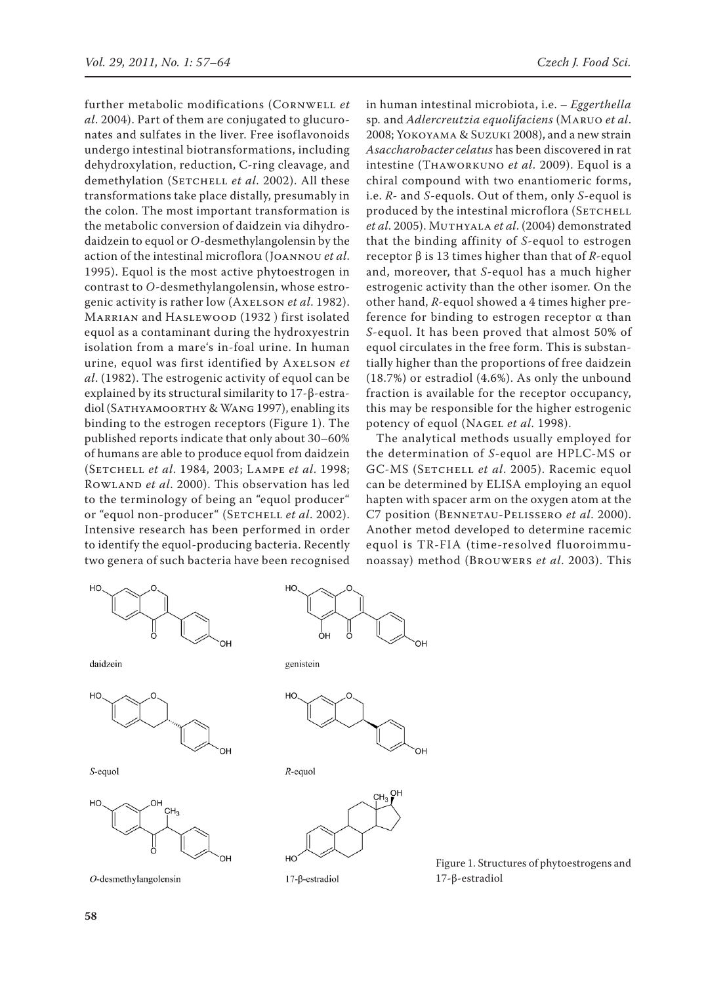further metabolic modifications (Cornwell *et al*. 2004). Part of them are conjugated to glucuronates and sulfates in the liver. Free isoflavonoids undergo intestinal biotransformations, including dehydroxylation, reduction, C-ring cleavage, and demethylation (SETCHELL et al. 2002). All these transformations take place distally, presumably in the colon. The most important transformation is the metabolic conversion of daidzein via dihydrodaidzein to equol or *O-*desmethylangolensin by the action of the intestinal microflora (Joannou *et al*. 1995). Equol is the most active phytoestrogen in contrast to *O-*desmethylangolensin, whose estrogenic activity is rather low (Axelson *et al*. 1982). Marrian and Haslewood (1932 ) first isolated equol as a contaminant during the hydroxyestrin isolation from a mare's in-foal urine. In human urine, equol was first identified by Axelson *et al*. (1982). The estrogenic activity of equol can be explained by its structural similarity to 17-β-estradiol (Sathyamoorthy & Wang 1997), enabling its binding to the estrogen receptors (Figure 1). The published reports indicate that only about 30–60% of humans are able to produce equol from daidzein (Setchell *et al*. 1984, 2003; Lampe *et al*. 1998; Rowland *et al*. 2000). This observation has led to the terminology of being an "equol producer" or "equol non-producer" (SETCHELL *et al.* 2002). Intensive research has been performed in order to identify the equol-producing bacteria. Recently two genera of such bacteria have been recognised





S-equol



 $O$ -desmethylangolensin

in human intestinal microbiota, i.e. – *Eggerthella*  sp*.* and *Adlercreutzia equolifaciens* (Maruo *et al*. 2008; Yokoyama & Suzuki 2008), and a new strain *Asaccharobacter celatus* has been discovered in rat intestine (Thaworkuno *et al*. 2009). Equol is a chiral compound with two enantiomeric forms, i.e. *R-* and *S-*equols. Out of them, only *S*-equol is produced by the intestinal microflora (SETCHELL *et al*. 2005). Muthyala *et al*. (2004) demonstrated that the binding affinity of *S-*equol to estrogen receptor β is 13 times higher than that of *R-*equol and, moreover, that *S-*equol has a much higher estrogenic activity than the other isomer. On the other hand, *R-*equol showed a 4 times higher preference for binding to estrogen receptor  $\alpha$  than *S-*equol. It has been proved that almost 50% of equol circulates in the free form. This is substantially higher than the proportions of free daidzein (18.7%) or estradiol (4.6%). As only the unbound fraction is available for the receptor occupancy, this may be responsible for the higher estrogenic potency of equol (Nagel *et al*. 1998).

The analytical methods usually employed for the determination of *S*-equol are HPLC-MS or GC-MS (SETCHELL et al. 2005). Racemic equol can be determined by ELISA employing an equol hapten with spacer arm on the oxygen atom at the C7 position (Bennetau-Pelissero *et al*. 2000). Another metod developed to determine racemic equol is TR-FIA (time-resolved fluoroimmunoassay) method (Brouwers *et al*. 2003). This





 $17$ - $\beta$ -estradiol

Figure 1. Structures of phytoestrogens and 17-β-estradiol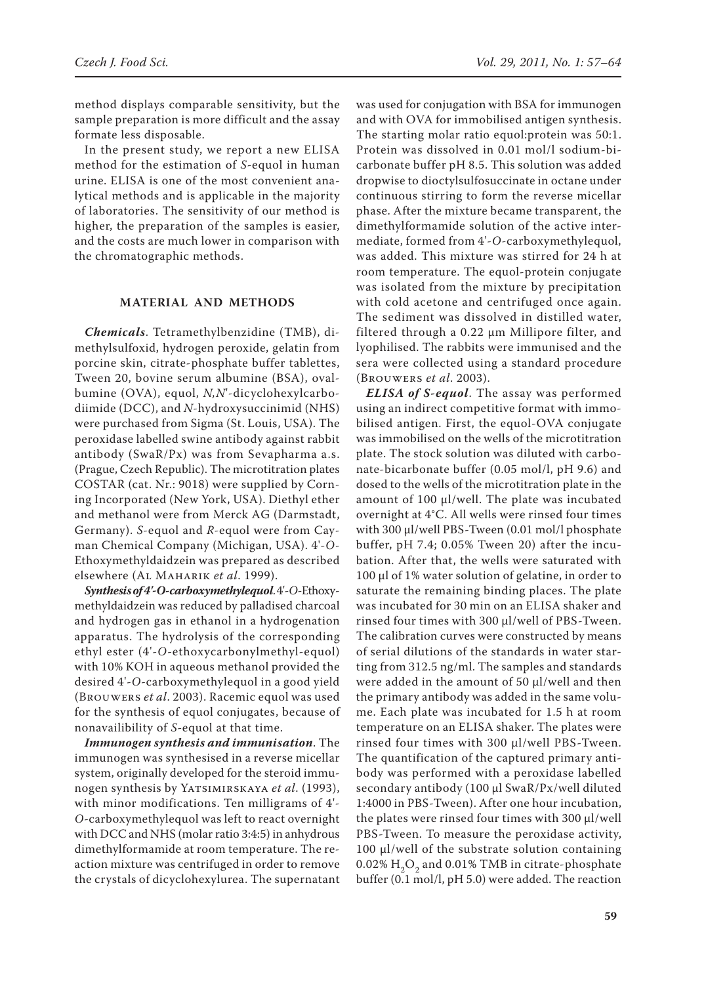method displays comparable sensitivity, but the sample preparation is more difficult and the assay formate less disposable.

In the present study, we report a new ELISA method for the estimation of *S-*equol in human urine. ELISA is one of the most convenient analytical methods and is applicable in the majority of laboratories. The sensitivity of our method is higher, the preparation of the samples is easier, and the costs are much lower in comparison with the chromatographic methods.

# **MATERIAL AND METHODS**

*Chemicals*. Tetramethylbenzidine (TMB), dimethylsulfoxid, hydrogen peroxide, gelatin from porcine skin, citrate-phosphate buffer tablettes, Tween 20, bovine serum albumine (BSA), ovalbumine (OVA), equol, *N,N*'*-*dicyclohexylcarbodiimide (DCC), and *N-*hydroxysuccinimid (NHS) were purchased from Sigma (St. Louis, USA). The peroxidase labelled swine antibody against rabbit antibody (SwaR/Px) was from Sevapharma a.s. (Prague, Czech Republic). The microtitration plates COSTAR (cat. Nr.: 9018) were supplied by Corning Incorporated (New York, USA). Diethyl ether and methanol were from Merck AG (Darmstadt, Germany). *S-*equol and *R-*equol were from Cayman Chemical Company (Michigan, USA). 4'-*O-*Ethoxymethyldaidzein was prepared as described elsewhere (Al Maharik *et al*. 1999).

*Synthesis of 4'-O***-***carboxymethylequol*.4'-*O-*Ethoxymethyldaidzein was reduced by palladised charcoal and hydrogen gas in ethanol in a hydrogenation apparatus. The hydrolysis of the corresponding ethyl ester (4'-*O-*ethoxycarbonylmethyl-equol) with 10% KOH in aqueous methanol provided the desired 4'-*O-*carboxymethylequol in a good yield (Brouwers *et al*. 2003). Racemic equol was used for the synthesis of equol conjugates, because of nonavailibility of *S-*equol at that time.

*Immunogen synthesis and immunisation*. The immunogen was synthesised in a reverse micellar system, originally developed for the steroid immunogen synthesis by Yatsimirskaya *et al*. (1993), with minor modifications. Ten milligrams of 4'- *O-*carboxymethylequol was left to react overnight with DCC and NHS (molar ratio 3:4:5) in anhydrous dimethylformamide at room temperature. The reaction mixture was centrifuged in order to remove the crystals of dicyclohexylurea. The supernatant

was used for conjugation with BSA for immunogen and with OVA for immobilised antigen synthesis. The starting molar ratio equol:protein was 50:1. Protein was dissolved in 0.01 mol/l sodium-bicarbonate buffer pH 8.5. This solution was added dropwise to dioctylsulfosuccinate in octane under continuous stirring to form the reverse micellar phase. After the mixture became transparent, the dimethylformamide solution of the active intermediate, formed from 4'-*O-*carboxymethylequol, was added. This mixture was stirred for 24 h at room temperature. The equol-protein conjugate was isolated from the mixture by precipitation with cold acetone and centrifuged once again. The sediment was dissolved in distilled water, filtered through a 0.22 µm Millipore filter, and lyophilised. The rabbits were immunised and the sera were collected using a standard procedure (Brouwers *et al*. 2003).

*ELISA of S***-***equol*. The assay was performed using an indirect competitive format with immobilised antigen. First, the equol-OVA conjugate was immobilised on the wells of the microtitration plate. The stock solution was diluted with carbonate-bicarbonate buffer (0.05 mol/l, pH 9.6) and dosed to the wells of the microtitration plate in the amount of 100 µl/well. The plate was incubated overnight at 4°C. All wells were rinsed four times with 300 µl/well PBS-Tween (0.01 mol/l phosphate buffer, pH 7.4; 0.05% Tween 20) after the incubation. After that, the wells were saturated with 100 µl of 1% water solution of gelatine, in order to saturate the remaining binding places. The plate was incubated for 30 min on an ELISA shaker and rinsed four times with 300 µl/well of PBS-Tween. The calibration curves were constructed by means of serial dilutions of the standards in water starting from 312.5 ng/ml. The samples and standards were added in the amount of 50 µl/well and then the primary antibody was added in the same volume. Each plate was incubated for 1.5 h at room temperature on an ELISA shaker. The plates were rinsed four times with 300 µl/well PBS-Tween. The quantification of the captured primary antibody was performed with a peroxidase labelled secondary antibody (100 µl SwaR/Px/well diluted 1:4000 in PBS-Tween). After one hour incubation, the plates were rinsed four times with 300 µl/well PBS-Tween. To measure the peroxidase activity, 100 µl/well of the substrate solution containing  $0.02\%$  H<sub>2</sub>O<sub>2</sub> and 0.01% TMB in citrate-phosphate buffer (0.1 mol/l, pH 5.0) were added. The reaction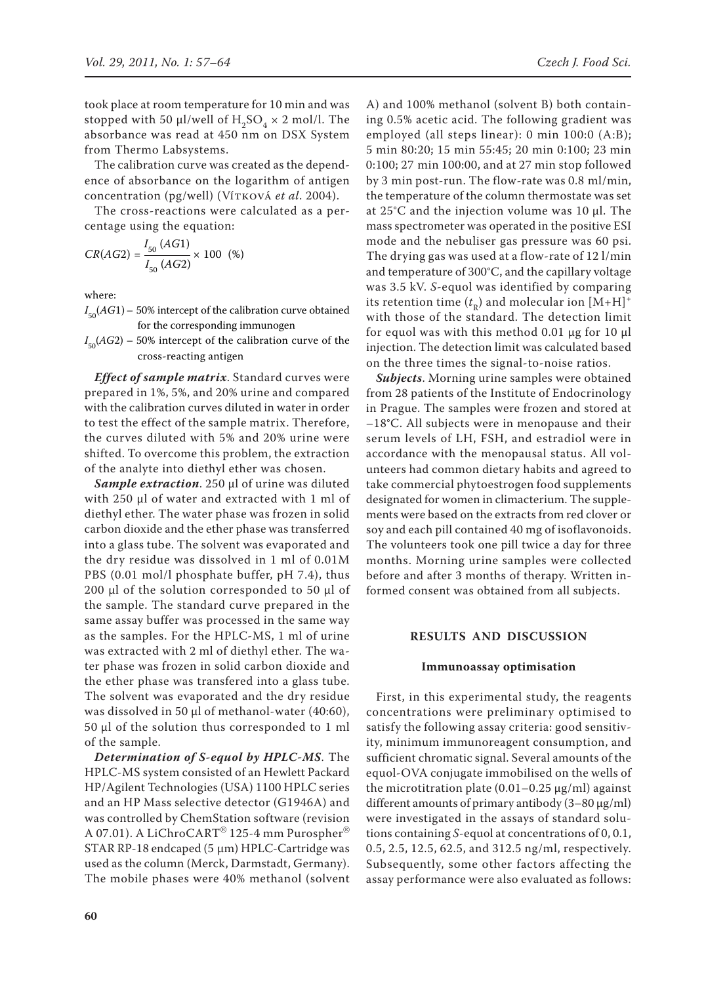took place at room temperature for 10 min and was stopped with 50  $\mu$ l/well of H<sub>2</sub>SO<sub>4</sub>  $\times$  2 mol/l. The absorbance was read at 450 nm on DSX System from Thermo Labsystems.

The calibration curve was created as the dependence of absorbance on the logarithm of antigen concentration (pg/well) (Vítková *et al*. 2004).

The cross-reactions were calculated as a percentage using the equation:

$$
CR(AG2) = \frac{I_{50} (AG1)}{I_{50} (AG2)} \times 100 \text{ (*)}
$$

where:

- $I_{\rm 50}$ ( $AG1$ )  $50\%$  intercept of the calibration curve obtained for the corresponding immunogen
- $I_{\rm 50}$ (*AG*2) 50% intercept of the calibration curve of the cross-reacting antigen

*Effect of sample matrix*. Standard curves were prepared in 1%, 5%, and 20% urine and compared with the calibration curves diluted in water in order to test the effect of the sample matrix. Therefore, the curves diluted with 5% and 20% urine were shifted. To overcome this problem, the extraction of the analyte into diethyl ether was chosen.

*Sample extraction*. 250 µl of urine was diluted with 250 µl of water and extracted with 1 ml of diethyl ether. The water phase was frozen in solid carbon dioxide and the ether phase was transferred into a glass tube. The solvent was evaporated and the dry residue was dissolved in 1 ml of 0.01M PBS (0.01 mol/l phosphate buffer, pH 7.4), thus 200 µl of the solution corresponded to 50 µl of the sample. The standard curve prepared in the same assay buffer was processed in the same way as the samples. For the HPLC-MS, 1 ml of urine was extracted with 2 ml of diethyl ether. The water phase was frozen in solid carbon dioxide and the ether phase was transfered into a glass tube. The solvent was evaporated and the dry residue was dissolved in 50 µl of methanol-water (40:60), 50 µl of the solution thus corresponded to 1 ml of the sample.

*Determination of S***-***equol by HPLC-MS*. The HPLC-MS system consisted of an Hewlett Packard HP/Agilent Technologies (USA) 1100 HPLC series and an HP Mass selective detector (G1946A) and was controlled by ChemStation software (revision A 07.01). A LiChroCART® 125-4 mm Purospher® STAR RP-18 endcaped (5 µm) HPLC-Cartridge was used as the column (Merck, Darmstadt, Germany). The mobile phases were 40% methanol (solvent

A) and 100% methanol (solvent B) both containing 0.5% acetic acid. The following gradient was employed (all steps linear): 0 min 100:0 (A:B); 5 min 80:20; 15 min 55:45; 20 min 0:100; 23 min 0:100; 27 min 100:00, and at 27 min stop followed by 3 min post-run. The flow-rate was 0.8 ml/min, the temperature of the column thermostate was set at 25°C and the injection volume was 10 µl. The mass spectrometer was operated in the positive ESI mode and the nebuliser gas pressure was 60 psi. The drying gas was used at a flow-rate of 12 l/min and temperature of 300°C, and the capillary voltage was 3.5 kV. *S-*equol was identified by comparing its retention time  $(t_R)$  and molecular ion  $[M+H]^+$ with those of the standard. The detection limit for equol was with this method  $0.01 \mu$ g for 10  $\mu$ l injection. The detection limit was calculated based on the three times the signal-to-noise ratios.

*Subjects*. Morning urine samples were obtained from 28 patients of the Institute of Endocrinology in Prague. The samples were frozen and stored at –18°C. All subjects were in menopause and their serum levels of LH, FSH, and estradiol were in accordance with the menopausal status. All volunteers had common dietary habits and agreed to take commercial phytoestrogen food supplements designated for women in climacterium. The supplements were based on the extracts from red clover or soy and each pill contained 40 mg of isoflavonoids. The volunteers took one pill twice a day for three months. Morning urine samples were collected before and after 3 months of therapy. Written informed consent was obtained from all subjects.

## **RESULTS AND DISCUSSION**

### **Immunoassay optimisation**

First, in this experimental study, the reagents concentrations were preliminary optimised to satisfy the following assay criteria: good sensitivity, minimum immunoreagent consumption, and sufficient chromatic signal. Several amounts of the equol-OVA conjugate immobilised on the wells of the microtitration plate  $(0.01-0.25 \,\mu\text{g/ml})$  against different amounts of primary antibody  $(3-80 \mu g/ml)$ were investigated in the assays of standard solutions containing *S*-equol at concentrations of 0, 0.1, 0.5, 2.5, 12.5, 62.5, and 312.5 ng/ml, respectively. Subsequently, some other factors affecting the assay performance were also evaluated as follows: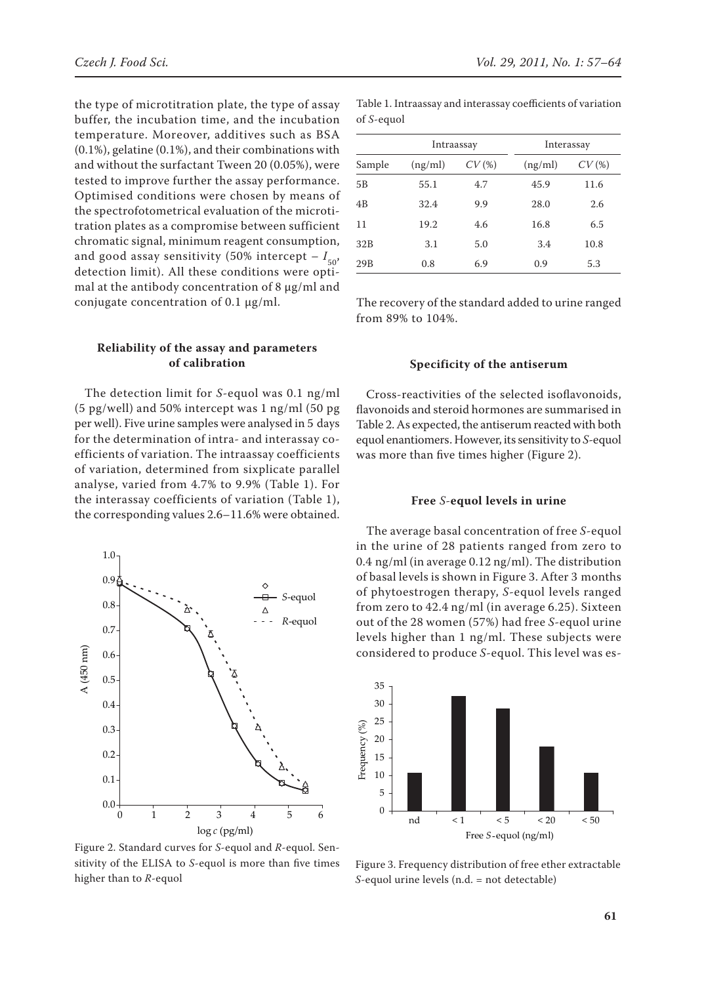the type of microtitration plate, the type of assay buffer, the incubation time, and the incubation temperature. Moreover, additives such as BSA (0.1%), gelatine (0.1%), and their combinations with and without the surfactant Tween 20 (0.05%), were tested to improve further the assay performance. Optimised conditions were chosen by means of the spectrofotometrical evaluation of the microtitration plates as a compromise between sufficient chromatic signal, minimum reagent consumption, and good assay sensitivity (50% intercept – *I* 50, detection limit). All these conditions were optimal at the antibody concentration of 8 µg/ml and conjugate concentration of 0.1 µg/ml.

## **Reliability of the assay and parameters of calibration**

The detection limit for *S-*equol was 0.1 ng/ml (5 pg/well) and 50% intercept was 1 ng/ml (50 pg per well). Five urine samples were analysed in 5 days for the determination of intra- and interassay coefficients of variation. The intraassay coefficients of variation, determined from sixplicate parallel analyse, varied from 4.7% to 9.9% (Table 1). For the interassay coefficients of variation (Table 1), the corresponding values 2.6–11.6% were obtained.



Figure 2. Standard curves for *S*-equol and *R*-equol. Sensitivity of the ELISA to *S*-equol is more than five times higher than to *R*-equol

| Sample | Intraassay |       | Interassay |       |
|--------|------------|-------|------------|-------|
|        | (ng/ml)    | CV(%) | (ng/ml)    | CV(%) |
| 5B     | 55.1       | 4.7   | 45.9       | 11.6  |
| 4B     | 32.4       | 9.9   | 28.0       | 2.6   |
| 11     | 19.2       | 4.6   | 16.8       | 6.5   |
| 32B    | 3.1        | 5.0   | 3.4        | 10.8  |
| 29B    | 0.8        | 6.9   | 0.9        | 5.3   |

Table 1. Intraassay and interassay coefficients of variation of *S*-equol

The recovery of the standard added to urine ranged from 89% to 104%.

## **Specificity of the antiserum**

Cross-reactivities of the selected isoflavonoids, flavonoids and steroid hormones are summarised in Table 2. As expected, the antiserum reacted with both equol enantiomers. However, its sensitivity to *S*-equol was more than five times higher (Figure 2).

#### **Free** *S-***equol levels in urine**

The average basal concentration of free *S-*equol in the urine of 28 patients ranged from zero to 0.4 ng/ml (in average 0.12 ng/ml). The distribution of basal levels is shown in Figure 3. After 3 months of phytoestrogen therapy, *S-*equol levels ranged from zero to 42.4 ng/ml (in average 6.25). Sixteen out of the 28 women (57%) had free *S-*equol urine levels higher than 1 ng/ml. These subjects were considered to produce *S-*equol. This level was es-



Figure 3. Frequency distribution of free ether extractable *S*-equol urine levels (n.d. = not detectable)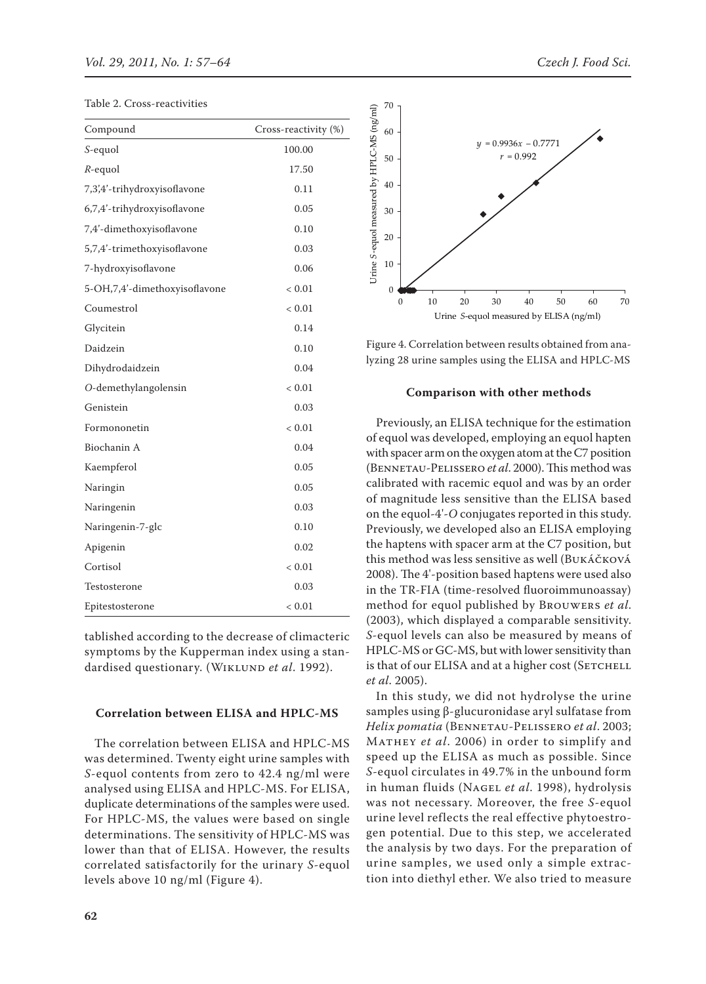| Compound                      | Cross-reactivity (%) |
|-------------------------------|----------------------|
| S-equol                       | 100.00               |
| $R$ -equol                    | 17.50                |
| 7,3',4'-trihydroxyisoflavone  | 0.11                 |
| 6,7,4'-trihydroxyisoflavone   | 0.05                 |
| 7,4'-dimethoxyisoflavone      | 0.10                 |
| 5,7,4'-trimethoxyisoflavone   | 0.03                 |
| 7-hydroxyisoflavone           | 0.06                 |
| 5-OH,7,4'-dimethoxyisoflavone | < 0.01               |
| Coumestrol                    | < 0.01               |
| Glycitein                     | 0.14                 |
| Daidzein                      | 0.10                 |
| Dihydrodaidzein               | 0.04                 |
| O-demethylangolensin          | < 0.01               |
| Genistein                     | 0.03                 |
| Formononetin                  | < 0.01               |
| Biochanin A                   | 0.04                 |
| Kaempferol                    | 0.05                 |
| Naringin                      | 0.05                 |
| Naringenin                    | 0.03                 |
| Naringenin-7-glc              | 0.10                 |
| Apigenin                      | 0.02                 |
| Cortisol                      | < 0.01               |
| Testosterone                  | 0.03                 |
| Epitestosterone               | < 0.01               |

tablished according to the decrease of climacteric symptoms by the Kupperman index using a standardised questionary. (WIKLUND et al. 1992).

# **Correlation between ELISA and HPLC-MS**

The correlation between ELISA and HPLC-MS was determined. Twenty eight urine samples with *S*-equol contents from zero to 42.4 ng/ml were analysed using ELISA and HPLC-MS. For ELISA, duplicate determinations of the samples were used. For HPLC-MS, the values were based on single determinations. The sensitivity of HPLC-MS was lower than that of ELISA. However, the results correlated satisfactorily for the urinary *S*-equol levels above 10 ng/ml (Figure 4).



Figure 4. Correlation between results obtained from analyzing 28 urine samples using the ELISA and HPLC-MS

#### **Comparison with other methods**

Previously, an ELISA technique for the estimation of equol was developed, employing an equol hapten with spacer arm on the oxygen atom at the C7 position (Bennetau-Pelissero *et al*. 2000).This method was calibrated with racemic equol and was by an order of magnitude less sensitive than the ELISA based on the equol-4'-*O* conjugates reported in this study. Previously, we developed also an ELISA employing the haptens with spacer arm at the C7 position, but this method was less sensitive as well (Bukáčková 2008). The 4'-position based haptens were used also in the TR-FIA (time-resolved fluoroimmunoassay) method for equol published by Brouwers *et al*. (2003), which displayed a comparable sensitivity. *S-*equol levels can also be measured by means of HPLC-MS or GC-MS, but with lower sensitivity than is that of our ELISA and at a higher cost (SETCHELL *et al*. 2005).

In this study, we did not hydrolyse the urine samples using β-glucuronidase aryl sulfatase from *Helix pomatia* (Bennetau-Pelissero *et al*. 2003; Mathey *et al*. 2006) in order to simplify and speed up the ELISA as much as possible. Since *S-*equol circulates in 49.7% in the unbound form in human fluids (Nagel *et al*. 1998), hydrolysis was not necessary. Moreover, the free *S-*equol urine level reflects the real effective phytoestrogen potential. Due to this step, we accelerated the analysis by two days. For the preparation of urine samples, we used only a simple extraction into diethyl ether. We also tried to measure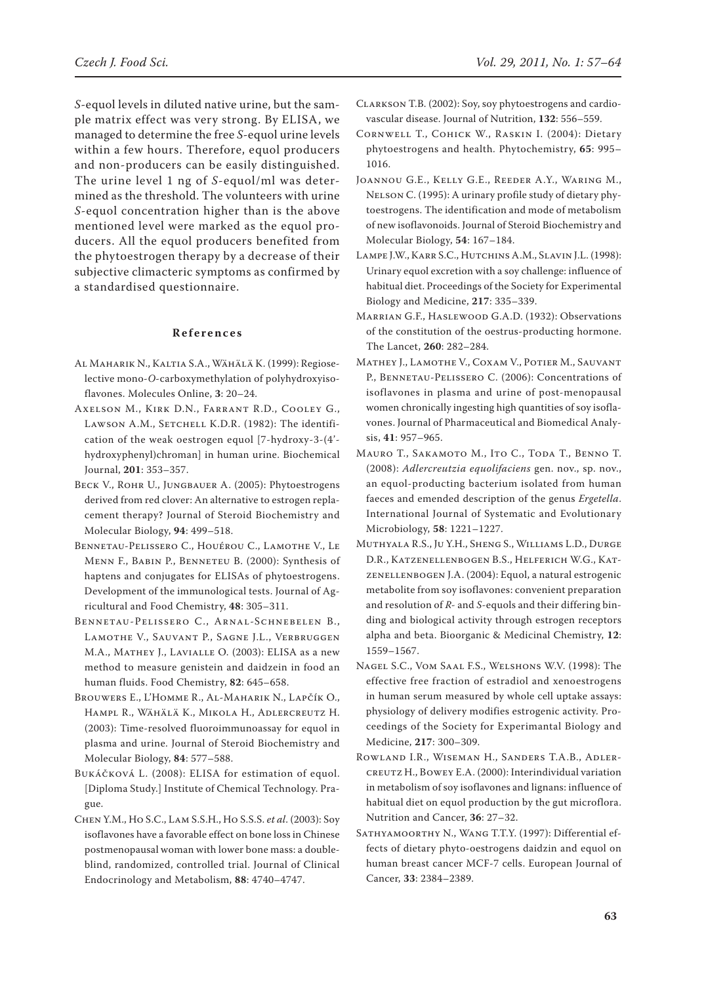*S-*equol levels in diluted native urine, but the sample matrix effect was very strong. By ELISA, we managed to determine the free *S-*equol urine levels within a few hours. Therefore, equol producers and non-producers can be easily distinguished. The urine level 1 ng of *S-*equol/ml was determined as the threshold. The volunteers with urine *S-*equol concentration higher than is the above mentioned level were marked as the equol producers. All the equol producers benefited from the phytoestrogen therapy by a decrease of their subjective climacteric symptoms as confirmed by a standardised questionnaire.

# **R e f e r e n c e s**

- Al Maharik N., Kaltia S.A., Wähälä K. (1999): Regioselective mono-*O*-carboxymethylation of polyhydroxyisoflavones. Molecules Online, **3**: 20–24.
- Axelson M., Kirk D.N., Farrant R.D., Cooley G., LAWSON A.M., SETCHELL K.D.R. (1982): The identification of the weak oestrogen equol [7-hydroxy-3-(4' hydroxyphenyl)chroman] in human urine. Biochemical Journal, **201**: 353–357.
- BECK V., ROHR U., JUNGBAUER A. (2005): Phytoestrogens derived from red clover: An alternative to estrogen replacement therapy? Journal of Steroid Biochemistry and Molecular Biology, **94**: 499–518.
- Bennetau-Pelissero C., Houérou C., Lamothe V., Le Menn F., Babin P., Benneteu B. (2000): Synthesis of haptens and conjugates for ELISAs of phytoestrogens. Development of the immunological tests. Journal of Agricultural and Food Chemistry, **48**: 305–311.
- Bennetau-Pelissero C., Arnal-Schnebelen B., Lamothe V., Sauvant P., Sagne J.L., Verbruggen M.A., Mathey J., Lavialle O. (2003): ELISA as a new method to measure genistein and daidzein in food an human fluids. Food Chemistry, **82**: 645–658.
- Brouwers E., L'Homme R., Al-Maharik N., Lapčík O., Hampl R., Wähälä K., Mikola H., Adlercreutz H. (2003): Time-resolved fluoroimmunoassay for equol in plasma and urine. Journal of Steroid Biochemistry and Molecular Biology, **84**: 577–588.
- Bukáčková L. (2008): ELISA for estimation of equol. [Diploma Study.] Institute of Chemical Technology. Prague.
- Chen Y.M., Ho S.C., Lam S.S.H., Ho S.S.S. *et al*. (2003): Soy isoflavones have a favorable effect on bone loss in Chinese postmenopausal woman with lower bone mass: a doubleblind, randomized, controlled trial. Journal of Clinical Endocrinology and Metabolism, **88**: 4740–4747.
- Clarkson T.B. (2002): Soy, soy phytoestrogens and cardiovascular disease. Journal of Nutrition, **132**: 556–559.
- Cornwell T., Cohick W., Raskin I. (2004): Dietary phytoestrogens and health. Phytochemistry, **65**: 995– 1016.
- Joannou G.E., Kelly G.E., Reeder A.Y., Waring M., Nelson C. (1995): A urinary profile study of dietary phytoestrogens. The identification and mode of metabolism of new isoflavonoids. Journal of Steroid Biochemistry and Molecular Biology, **54**: 167–184.
- Lampe J.W., Karr S.C., Hutchins A.M., Slavin J.L. (1998): Urinary equol excretion with a soy challenge: influence of habitual diet. Proceedings of the Society for Experimental Biology and Medicine, **217**: 335–339.
- Marrian G.F., Haslewood G.A.D. (1932): Observations of the constitution of the oestrus-producting hormone. The Lancet, **260**: 282–284.
- Mathey J., Lamothe V., Coxam V., Potier M., Sauvant P., Bennetau-Pelissero C. (2006): Concentrations of isoflavones in plasma and urine of post-menopausal women chronically ingesting high quantities of soy isoflavones. Journal of Pharmaceutical and Biomedical Analysis, **41**: 957–965.
- Mauro T., Sakamoto M., Ito C., Toda T., Benno T. (2008): *Adlercreutzia equolifaciens* gen. nov., sp. nov., an equol-producting bacterium isolated from human faeces and emended description of the genus *Ergetella*. International Journal of Systematic and Evolutionary Microbiology, **58**: 1221–1227.
- Muthyala R.S., Ju Y.H., Sheng S., Williams L.D., Durge D.R., Katzenellenbogen B.S., Helferich W.G., Katzenellenbogen J.A. (2004): Equol, a natural estrogenic metabolite from soy isoflavones: convenient preparation and resolution of *R-* and *S-*equols and their differing binding and biological activity through estrogen receptors alpha and beta. Bioorganic & Medicinal Chemistry, **12**: 1559–1567.
- Nagel S.C., Vom Saal F.S., Welshons W.V. (1998): The effective free fraction of estradiol and xenoestrogens in human serum measured by whole cell uptake assays: physiology of delivery modifies estrogenic activity. Proceedings of the Society for Experimantal Biology and Medicine, **217**: 300–309.
- Rowland I.R., Wiseman H., Sanders T.A.B., Adlercreutz H., Bowey E.A. (2000): Interindividual variation in metabolism of soy isoflavones and lignans: influence of habitual diet on equol production by the gut microflora. Nutrition and Cancer, **36**: 27–32.
- SATHYAMOORTHY N., WANG T.T.Y. (1997): Differential effects of dietary phyto-oestrogens daidzin and equol on human breast cancer MCF-7 cells. European Journal of Cancer, **33**: 2384–2389.